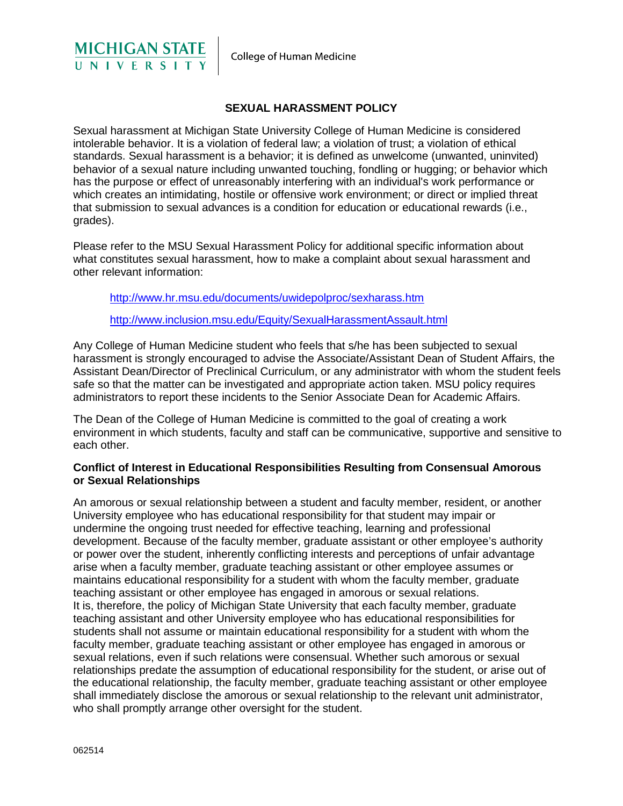

## **SEXUAL HARASSMENT POLICY**

<span id="page-0-0"></span>Sexual harassment at Michigan State University College of Human Medicine is considered intolerable behavior. It is a violation of federal law; a violation of trust; a violation of ethical standards. Sexual harassment is a behavior; it is defined as unwelcome (unwanted, uninvited) behavior of a sexual nature including unwanted touching, fondling or hugging; or behavior which has the purpose or effect of unreasonably interfering with an individual's work performance or which creates an intimidating, hostile or offensive work environment; or direct or implied threat that submission to sexual advances is a condition for education or educational rewards (i.e., grades).

Please refer to the MSU Sexual Harassment Policy for additional specific information about what constitutes sexual harassment, how to make a complaint about sexual harassment and other relevant information:

[http://www.hr.msu.edu/documents/uwidepolproc/sexharass.htm](#page-0-0) 

<http://www.inclusion.msu.edu/Equity/SexualHarassmentAssault.html>

Any College of Human Medicine student who feels that s/he has been subjected to sexual harassment is strongly encouraged to advise the Associate/Assistant Dean of Student Affairs, the Assistant Dean/Director of Preclinical Curriculum, or any administrator with whom the student feels safe so that the matter can be investigated and appropriate action taken. MSU policy requires administrators to report these incidents to the Senior Associate Dean for Academic Affairs.

The Dean of the College of Human Medicine is committed to the goal of creating a work environment in which students, faculty and staff can be communicative, supportive and sensitive to each other.

## **Conflict of Interest in Educational Responsibilities Resulting from Consensual Amorous or Sexual Relationships**

An amorous or sexual relationship between a student and faculty member, resident, or another University employee who has educational responsibility for that student may impair or undermine the ongoing trust needed for effective teaching, learning and professional development. Because of the faculty member, graduate assistant or other employee's authority or power over the student, inherently conflicting interests and perceptions of unfair advantage arise when a faculty member, graduate teaching assistant or other employee assumes or maintains educational responsibility for a student with whom the faculty member, graduate teaching assistant or other employee has engaged in amorous or sexual relations. It is, therefore, the policy of Michigan State University that each faculty member, graduate teaching assistant and other University employee who has educational responsibilities for students shall not assume or maintain educational responsibility for a student with whom the faculty member, graduate teaching assistant or other employee has engaged in amorous or sexual relations, even if such relations were consensual. Whether such amorous or sexual relationships predate the assumption of educational responsibility for the student, or arise out of the educational relationship, the faculty member, graduate teaching assistant or other employee shall immediately disclose the amorous or sexual relationship to the relevant unit administrator, who shall promptly arrange other oversight for the student.